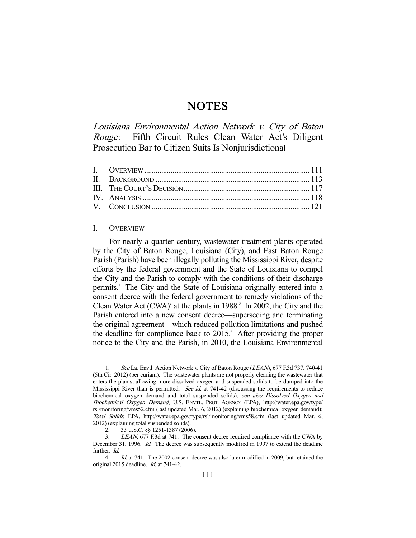# **NOTES**

Louisiana Environmental Action Network v. City of Baton Rouge: Fifth Circuit Rules Clean Water Act's Diligent Prosecution Bar to Citizen Suits Is Nonjurisdictional

# I. OVERVIEW

-

 For nearly a quarter century, wastewater treatment plants operated by the City of Baton Rouge, Louisiana (City), and East Baton Rouge Parish (Parish) have been illegally polluting the Mississippi River, despite efforts by the federal government and the State of Louisiana to compel the City and the Parish to comply with the conditions of their discharge permits.<sup>1</sup> The City and the State of Louisiana originally entered into a consent decree with the federal government to remedy violations of the Clean Water Act  $(CWA)^2$  at the plants in 1988.<sup>3</sup> In 2002, the City and the Parish entered into a new consent decree—superseding and terminating the original agreement—which reduced pollution limitations and pushed the deadline for compliance back to  $2015<sup>4</sup>$ . After providing the proper notice to the City and the Parish, in 2010, the Louisiana Environmental

 <sup>1.</sup> See La. Envtl. Action Network v. City of Baton Rouge (LEAN), 677 F.3d 737, 740-41 (5th Cir. 2012) (per curiam). The wastewater plants are not properly cleaning the wastewater that enters the plants, allowing more dissolved oxygen and suspended solids to be dumped into the Mississippi River than is permitted. See id. at  $741-42$  (discussing the requirements to reduce biochemical oxygen demand and total suspended solids); see also Dissolved Oxygen and Biochemical Oxygen Demand, U.S. ENVTL. PROT. AGENCY (EPA), http://water.epa.gov/type/ rsl/monitoring/vms52.cfm (last updated Mar. 6, 2012) (explaining biochemical oxygen demand); Total Solids, EPA, http://water.epa.gov/type/rsl/monitoring/vms58.cfm (last updated Mar. 6, 2012) (explaining total suspended solids).

 <sup>2. 33</sup> U.S.C. §§ 1251-1387 (2006).

 <sup>3.</sup> LEAN, 677 F.3d at 741. The consent decree required compliance with the CWA by December 31, 1996. Id. The decree was subsequently modified in 1997 to extend the deadline further. *Id.* 

<sup>4.</sup> *Id.* at 741. The 2002 consent decree was also later modified in 2009, but retained the original 2015 deadline. *Id.* at 741-42.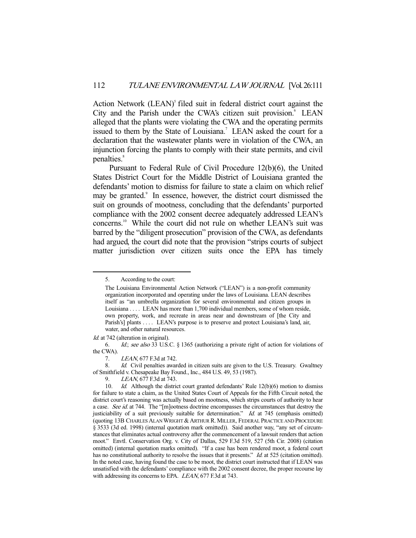Action Network (LEAN)<sup>5</sup> filed suit in federal district court against the City and the Parish under the CWA's citizen suit provision.<sup>6</sup> LEAN alleged that the plants were violating the CWA and the operating permits issued to them by the State of Louisiana.<sup>7</sup> LEAN asked the court for a declaration that the wastewater plants were in violation of the CWA, an injunction forcing the plants to comply with their state permits, and civil penalties.<sup>8</sup>

 Pursuant to Federal Rule of Civil Procedure 12(b)(6), the United States District Court for the Middle District of Louisiana granted the defendants' motion to dismiss for failure to state a claim on which relief may be granted.<sup>9</sup> In essence, however, the district court dismissed the suit on grounds of mootness, concluding that the defendants' purported compliance with the 2002 consent decree adequately addressed LEAN's concerns.10 While the court did not rule on whether LEAN's suit was barred by the "diligent prosecution" provision of the CWA, as defendants had argued, the court did note that the provision "strips courts of subject matter jurisdiction over citizen suits once the EPA has timely

-

Id. at 742 (alteration in original).

 <sup>5.</sup> According to the court:

The Louisiana Environmental Action Network ("LEAN") is a non-profit community organization incorporated and operating under the laws of Louisiana. LEAN describes itself as "an umbrella organization for several environmental and citizen groups in Louisiana . . . . LEAN has more than 1,700 individual members, some of whom reside, own property, work, and recreate in areas near and downstream of [the City and Parish's] plants . . . . LEAN's purpose is to preserve and protect Louisiana's land, air, water, and other natural resources.

 <sup>6.</sup> Id.; see also 33 U.S.C. § 1365 (authorizing a private right of action for violations of the CWA).

 <sup>7.</sup> LEAN, 677 F.3d at 742.

<sup>8.</sup> Id. Civil penalties awarded in citizen suits are given to the U.S. Treasury. Gwaltney of Smithfield v. Chesapeake Bay Found., Inc., 484 U.S. 49, 53 (1987).

<sup>9.</sup> LEAN, 677 F.3d at 743.

<sup>10.</sup> *Id.* Although the district court granted defendants' Rule 12(b)(6) motion to dismiss for failure to state a claim, as the United States Court of Appeals for the Fifth Circuit noted, the district court's reasoning was actually based on mootness, which strips courts of authority to hear a case. See id. at 744. The "[m]ootness doctrine encompasses the circumstances that destroy the justiciability of a suit previously suitable for determination." Id. at 745 (emphasis omitted) (quoting 13B CHARLES ALAN WRIGHT &ARTHUR R. MILLER, FEDERAL PRACTICE AND PROCEDURE § 3533 (3d ed. 1998) (internal quotation mark omitted)). Said another way, "any set of circumstances that eliminates actual controversy after the commencement of a lawsuit renders that action moot." Envtl. Conservation Org. v. City of Dallas, 529 F.3d 519, 527 (5th Cir. 2008) (citation omitted) (internal quotation marks omitted). "If a case has been rendered moot, a federal court has no constitutional authority to resolve the issues that it presents." Id. at 525 (citation omitted). In the noted case, having found the case to be moot, the district court instructed that if LEAN was unsatisfied with the defendants' compliance with the 2002 consent decree, the proper recourse lay with addressing its concerns to EPA. *LEAN*, 677 F.3d at 743.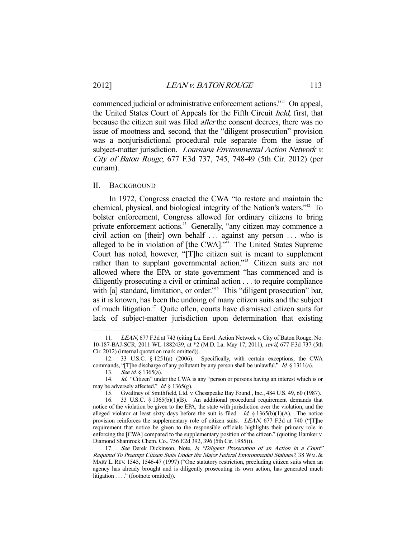commenced judicial or administrative enforcement actions."11 On appeal, the United States Court of Appeals for the Fifth Circuit held, first, that because the citizen suit was filed after the consent decrees, there was no issue of mootness and, second, that the "diligent prosecution" provision was a nonjurisdictional procedural rule separate from the issue of subject-matter jurisdiction. *Louisiana Environmental Action Network v.* City of Baton Rouge, 677 F.3d 737, 745, 748-49 (5th Cir. 2012) (per curiam).

### II. BACKGROUND

 In 1972, Congress enacted the CWA "to restore and maintain the chemical, physical, and biological integrity of the Nation's waters."12 To bolster enforcement, Congress allowed for ordinary citizens to bring private enforcement actions.<sup>13</sup> Generally, "any citizen may commence a civil action on [their] own behalf . . . against any person . . . who is alleged to be in violation of  $[the CWA]$ <sup> $,$ 14</sup> The United States Supreme Court has noted, however, "[T]he citizen suit is meant to supplement rather than to supplant governmental action."<sup>15</sup> Citizen suits are not allowed where the EPA or state government "has commenced and is diligently prosecuting a civil or criminal action . . . to require compliance with [a] standard, limitation, or order."<sup>16</sup> This "diligent prosecution" bar, as it is known, has been the undoing of many citizen suits and the subject of much litigation.17 Quite often, courts have dismissed citizen suits for lack of subject-matter jurisdiction upon determination that existing

<sup>11.</sup> LEAN, 677 F.3d at 743 (citing La. Envtl. Action Network v. City of Baton Rouge, No. 10-187-BAJ-SCR, 2011 WL 1882439, at \*2 (M.D. La. May 17, 2011), rev'd, 677 F.3d 737 (5th Cir. 2012) (internal quotation mark omitted)).

 <sup>12. 33</sup> U.S.C. § 1251(a) (2006). Specifically, with certain exceptions, the CWA commands, "[T]he discharge of any pollutant by any person shall be unlawful." Id. § 1311(a).

<sup>13.</sup> See id. § 1365(a).

<sup>14.</sup> *Id.* "Citizen" under the CWA is any "person or persons having an interest which is or may be adversely affected." *Id.*  $\S$  1365(g).

 <sup>15.</sup> Gwaltney of Smithfield, Ltd. v. Chesapeake Bay Found., Inc., 484 U.S. 49, 60 (1987).

 <sup>16. 33</sup> U.S.C. § 1365(b)(1)(B). An additional procedural requirement demands that notice of the violation be given to the EPA, the state with jurisdiction over the violation, and the alleged violator at least sixty days before the suit is filed. Id.  $\S$  1365(b)(1)(A). The notice provision reinforces the supplementary role of citizen suits. LEAN, 677 F.3d at 740 ("[T]he requirement that notice be given to the responsible officials highlights their primary role in enforcing the [CWA] compared to the supplementary position of the citizen." (quoting Hamker v. Diamond Shamrock Chem. Co., 756 F.2d 392, 396 (5th Cir. 1985))).

<sup>17.</sup> See Derek Dickinson, Note, Is "Diligent Prosecution of an Action in a Court" Required To Preempt Citizen Suits Under the Major Federal Environmental Statutes?, 38 WM.& MARY L.REV. 1545, 1546-47 (1997) ("One statutory restriction, precluding citizen suits when an agency has already brought and is diligently prosecuting its own action, has generated much litigation . . . ." (footnote omitted)).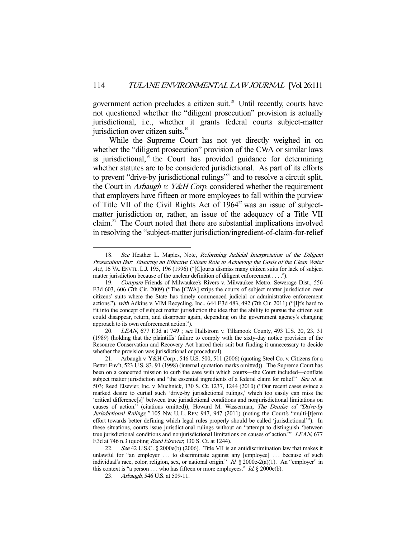government action precludes a citizen suit.<sup>18</sup> Until recently, courts have not questioned whether the "diligent prosecution" provision is actually jurisdictional, i.e., whether it grants federal courts subject-matter jurisdiction over citizen suits.<sup>19</sup>

 While the Supreme Court has not yet directly weighed in on whether the "diligent prosecution" provision of the CWA or similar laws is jurisdictional, $20$  the Court has provided guidance for determining whether statutes are to be considered jurisdictional. As part of its efforts to prevent "drive-by jurisdictional rulings"<sup>21</sup> and to resolve a circuit split, the Court in Arbaugh v. Y&H Corp. considered whether the requirement that employers have fifteen or more employees to fall within the purview of Title VII of the Civil Rights Act of 1964<sup>22</sup> was an issue of subjectmatter jurisdiction or, rather, an issue of the adequacy of a Title VII claim.23 The Court noted that there are substantial implications involved in resolving the "subject-matter jurisdiction/ingredient-of-claim-for-relief

<sup>18.</sup> See Heather L. Maples, Note, Reforming Judicial Interpretation of the Diligent Prosecution Bar: Ensuring an Effective Citizen Role in Achieving the Goals of the Clean Water Act, 16 VA. ENVTL. L.J. 195, 196 (1996) ("[C]ourts dismiss many citizen suits for lack of subject matter jurisdiction because of the unclear definition of diligent enforcement . . . .").

 <sup>19.</sup> Compare Friends of Milwaukee's Rivers v. Milwaukee Metro. Sewerage Dist., 556 F.3d 603, 606 (7th Cir. 2009) ("The [CWA] strips the courts of subject matter jurisdiction over citizens' suits where the State has timely commenced judicial or administrative enforcement actions."), with Adkins v. VIM Recycling, Inc., 644 F.3d 483, 492 (7th Cir. 2011) ("[I]t's hard to fit into the concept of subject matter jurisdiction the idea that the ability to pursue the citizen suit could disappear, return, and disappear again, depending on the government agency's changing approach to its own enforcement action.").

 <sup>20.</sup> LEAN, 677 F.3d at 749 ; see Hallstrom v. Tillamook County, 493 U.S. 20, 23, 31 (1989) (holding that the plaintiffs' failure to comply with the sixty-day notice provision of the Resource Conservation and Recovery Act barred their suit but finding it unnecessary to decide whether the provision was jurisdictional or procedural).

 <sup>21.</sup> Arbaugh v. Y&H Corp., 546 U.S. 500, 511 (2006) (quoting Steel Co. v. Citizens for a Better Env't, 523 U.S. 83, 91 (1998) (internal quotation marks omitted)). The Supreme Court has been on a concerted mission to curb the ease with which courts—the Court included—conflate subject matter jurisdiction and "the essential ingredients of a federal claim for relief." See id. at 503; Reed Elsevier, Inc. v. Muchnick, 130 S. Ct. 1237, 1244 (2010) ("Our recent cases evince a marked desire to curtail such 'drive-by jurisdictional rulings,' which too easily can miss the 'critical difference[s]' between true jurisdictional conditions and nonjurisdictional limitations on causes of action." (citations omitted)); Howard M. Wasserman, The Demise of "Drive-by Jurisdictional Rulings," 105 Nw. U. L. REV. 947, 947 (2011) (noting the Court's "multi-[t]erm effort towards better defining which legal rules properly should be called 'jurisdictional'"). In these situations, courts issue jurisdictional rulings without an "attempt to distinguish 'between true jurisdictional conditions and nonjurisdictional limitations on causes of action." LEAN, 677 F.3d at 746 n.3 (quoting Reed Elsevier, 130 S. Ct. at 1244).

See 42 U.S.C. § 2000e(b) (2006). Title VII is an antidiscrimination law that makes it unlawful for "an employer . . . to discriminate against any [employee] . . . because of such individual's race, color, religion, sex, or national origin." Id. § 2000e-2(a)(1). An "employer" in this context is "a person . . . who has fifteen or more employees." Id.  $\S 2000e(b)$ .

<sup>23.</sup> Arbaugh, 546 U.S. at 509-11.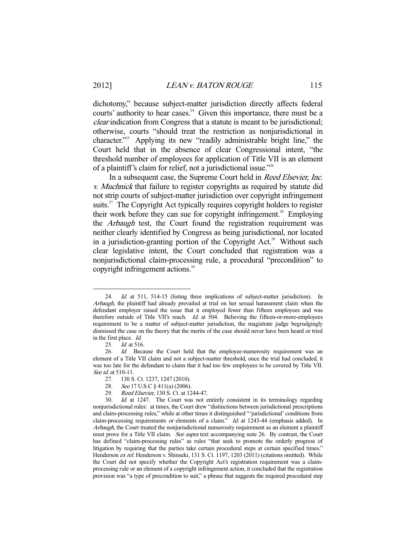dichotomy," because subject-matter jurisdiction directly affects federal courts' authority to hear cases.<sup>24</sup> Given this importance, there must be a clear indication from Congress that a statute is meant to be jurisdictional; otherwise, courts "should treat the restriction as nonjurisdictional in character."<sup>25</sup> Applying its new "readily administrable bright line," the Court held that in the absence of clear Congressional intent, "the threshold number of employees for application of Title VII is an element of a plaintiff's claim for relief, not a jurisdictional issue."26

 In a subsequent case, the Supreme Court held in Reed Elsevier, Inc. v. Muchnick that failure to register copyrights as required by statute did not strip courts of subject-matter jurisdiction over copyright infringement suits.<sup>27</sup> The Copyright Act typically requires copyright holders to register their work before they can sue for copyright infringement.<sup>28</sup> Employing the Arbaugh test, the Court found the registration requirement was neither clearly identified by Congress as being jurisdictional, nor located in a jurisdiction-granting portion of the Copyright Act.<sup>29</sup> Without such clear legislative intent, the Court concluded that registration was a nonjurisdictional claim-processing rule, a procedural "precondition" to copyright infringement actions.<sup>30</sup>

<sup>24.</sup> *Id.* at 511, 514-15 (listing three implications of subject-matter jurisdiction). In Arbaugh, the plaintiff had already prevailed at trial on her sexual harassment claim when the defendant employer raised the issue that it employed fewer than fifteen employees and was therefore outside of Title VII's reach. Id. at 504. Believing the fifteen-or-more-employees requirement to be a matter of subject-matter jurisdiction, the magistrate judge begrudgingly dismissed the case on the theory that the merits of the case should never have been heard or tried in the first place. Id.

 <sup>25.</sup> Id. at 516.

<sup>26.</sup> Id. Because the Court held that the employee-numerosity requirement was an element of a Title VII claim and not a subject-matter threshold, once the trial had concluded, it was too late for the defendant to claim that it had too few employees to be covered by Title VII. See *id.* at 510-11.

 <sup>27. 130</sup> S. Ct. 1237, 1247 (2010).

<sup>28.</sup> See 17 U.S.C § 411(a) (2006).

<sup>29.</sup> Reed Elsevier, 130 S. Ct. at 1244-47.

 <sup>30.</sup> Id. at 1247. The Court was not entirely consistent in its terminology regarding nonjurisdictional rules: at times, the Court drew "distinctions between jurisdictional prescriptions and claim-processing rules," while at other times it distinguished "'jurisdictional' conditions from claim-processing requirements or elements of a claim." Id. at 1243-44 (emphasis added). In Arbaugh, the Court treated the nonjurisdictional numerosity requirement as an element a plaintiff must prove for a Title VII claim. See supra text accompanying note 26. By contrast, the Court has defined "claim-processing rules" as rules "that seek to promote the orderly progress of litigation by requiring that the parties take certain procedural steps at certain specified times." Henderson ex rel. Henderson v. Shinseki, 131 S. Ct. 1197, 1203 (2011) (citations omitted). While the Court did not specify whether the Copyright Act's registration requirement was a claimprocessing rule or an element of a copyright infringement action, it concluded that the registration provision was "a type of precondition to suit," a phrase that suggests the required procedural step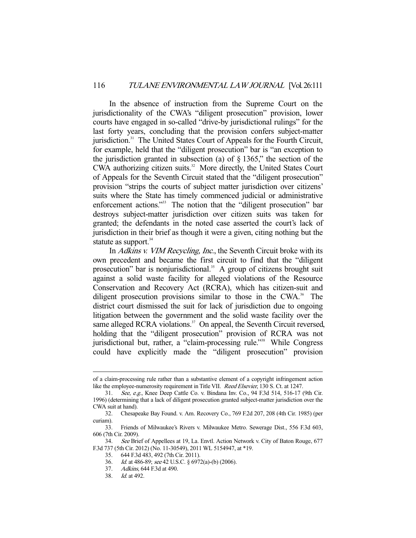In the absence of instruction from the Supreme Court on the jurisdictionality of the CWA's "diligent prosecution" provision, lower courts have engaged in so-called "drive-by jurisdictional rulings" for the last forty years, concluding that the provision confers subject-matter jurisdiction.31 The United States Court of Appeals for the Fourth Circuit, for example, held that the "diligent prosecution" bar is "an exception to the jurisdiction granted in subsection (a) of  $\S$  1365," the section of the CWA authorizing citizen suits. $32$  More directly, the United States Court of Appeals for the Seventh Circuit stated that the "diligent prosecution" provision "strips the courts of subject matter jurisdiction over citizens' suits where the State has timely commenced judicial or administrative enforcement actions."<sup>33</sup> The notion that the "diligent prosecution" bar destroys subject-matter jurisdiction over citizen suits was taken for granted; the defendants in the noted case asserted the court's lack of jurisdiction in their brief as though it were a given, citing nothing but the statute as support.<sup>34</sup>

In Adkins v. VIM Recycling, Inc., the Seventh Circuit broke with its own precedent and became the first circuit to find that the "diligent prosecution" bar is nonjurisdictional.<sup>35</sup> A group of citizens brought suit against a solid waste facility for alleged violations of the Resource Conservation and Recovery Act (RCRA), which has citizen-suit and diligent prosecution provisions similar to those in the CWA.<sup>36</sup> The district court dismissed the suit for lack of jurisdiction due to ongoing litigation between the government and the solid waste facility over the same alleged RCRA violations. $37$  On appeal, the Seventh Circuit reversed, holding that the "diligent prosecution" provision of RCRA was not jurisdictional but, rather, a "claim-processing rule."<sup>38</sup> While Congress could have explicitly made the "diligent prosecution" provision

of a claim-processing rule rather than a substantive element of a copyright infringement action like the employee-numerosity requirement in Title VII. *Reed Elsevier*, 130 S. Ct. at 1247.

 <sup>31.</sup> See, e.g., Knee Deep Cattle Co. v. Bindana Inv. Co., 94 F.3d 514, 516-17 (9th Cir. 1996) (determining that a lack of diligent prosecution granted subject-matter jurisdiction over the CWA suit at hand).

 <sup>32.</sup> Chesapeake Bay Found. v. Am. Recovery Co., 769 F.2d 207, 208 (4th Cir. 1985) (per curiam).

 <sup>33.</sup> Friends of Milwaukee's Rivers v. Milwaukee Metro. Sewerage Dist., 556 F.3d 603, 606 (7th Cir. 2009).

<sup>34.</sup> See Brief of Appellees at 19, La. Envtl. Action Network v. City of Baton Rouge, 677 F.3d 737 (5th Cir. 2012) (No. 11-30549), 2011 WL 5154947, at \*19.

 <sup>35. 644</sup> F.3d 483, 492 (7th Cir. 2011).

 <sup>36.</sup> Id. at 486-89; see 42 U.S.C. § 6972(a)-(b) (2006).

 <sup>37.</sup> Adkins, 644 F.3d at 490.

 <sup>38.</sup> Id. at 492.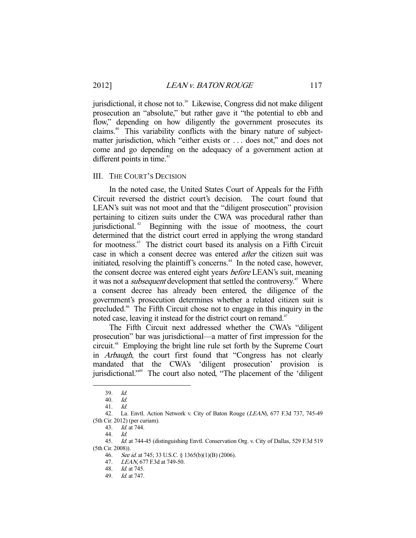jurisdictional, it chose not to.<sup>39</sup> Likewise, Congress did not make diligent prosecution an "absolute," but rather gave it "the potential to ebb and flow," depending on how diligently the government prosecutes its claims.40 This variability conflicts with the binary nature of subjectmatter jurisdiction, which "either exists or . . . does not," and does not come and go depending on the adequacy of a government action at different points in time.<sup>41</sup>

## III. THE COURT'S DECISION

 In the noted case, the United States Court of Appeals for the Fifth Circuit reversed the district court's decision. The court found that LEAN's suit was not moot and that the "diligent prosecution" provision pertaining to citizen suits under the CWA was procedural rather than jurisdictional. 42 Beginning with the issue of mootness, the court determined that the district court erred in applying the wrong standard for mootness.43 The district court based its analysis on a Fifth Circuit case in which a consent decree was entered *after* the citizen suit was initiated, resolving the plaintiff's concerns.<sup>44</sup> In the noted case, however, the consent decree was entered eight years before LEAN's suit, meaning it was not a *subsequent* development that settled the controversy.<sup>45</sup> Where a consent decree has already been entered, the diligence of the government's prosecution determines whether a related citizen suit is precluded.46 The Fifth Circuit chose not to engage in this inquiry in the noted case, leaving it instead for the district court on remand.<sup>47</sup>

 The Fifth Circuit next addressed whether the CWA's "diligent prosecution" bar was jurisdictional—a matter of first impression for the circuit.48 Employing the bright line rule set forth by the Supreme Court in Arbaugh, the court first found that "Congress has not clearly mandated that the CWA's 'diligent prosecution' provision is jurisdictional."<sup>49</sup> The court also noted, "The placement of the 'diligent

 <sup>39.</sup> Id.

 <sup>40.</sup> Id.

 <sup>41.</sup> Id.

<sup>42.</sup> La. Envtl. Action Network v. City of Baton Rouge (LEAN), 677 F.3d 737, 745-49 (5th Cir. 2012) (per curiam).

 <sup>43.</sup> Id. at 744.

<sup>44.</sup>  $Id.$ 

 <sup>45.</sup> Id. at 744-45 (distinguishing Envtl. Conservation Org. v. City of Dallas, 529 F.3d 519 (5th Cir. 2008)).

<sup>46.</sup> See id. at 745; 33 U.S.C. § 1365(b)(1)(B) (2006).

 <sup>47.</sup> LEAN, 677 F.3d at 749-50.

 <sup>48.</sup> Id. at 745.

 <sup>49.</sup> Id. at 747.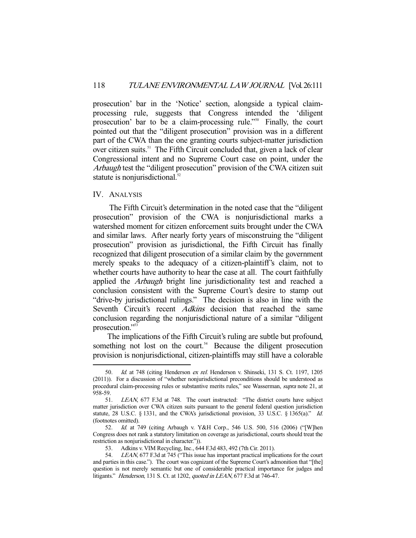prosecution' bar in the 'Notice' section, alongside a typical claimprocessing rule, suggests that Congress intended the 'diligent prosecution' bar to be a claim-processing rule."<sup>50</sup> Finally, the court pointed out that the "diligent prosecution" provision was in a different part of the CWA than the one granting courts subject-matter jurisdiction over citizen suits.<sup>51</sup> The Fifth Circuit concluded that, given a lack of clear Congressional intent and no Supreme Court case on point, under the Arbaugh test the "diligent prosecution" provision of the CWA citizen suit statute is nonjurisdictional.<sup>52</sup>

# IV. ANALYSIS

-

 The Fifth Circuit's determination in the noted case that the "diligent prosecution" provision of the CWA is nonjurisdictional marks a watershed moment for citizen enforcement suits brought under the CWA and similar laws. After nearly forty years of misconstruing the "diligent prosecution" provision as jurisdictional, the Fifth Circuit has finally recognized that diligent prosecution of a similar claim by the government merely speaks to the adequacy of a citizen-plaintiff's claim, not to whether courts have authority to hear the case at all. The court faithfully applied the *Arbaugh* bright line jurisdictionality test and reached a conclusion consistent with the Supreme Court's desire to stamp out "drive-by jurisdictional rulings." The decision is also in line with the Seventh Circuit's recent *Adkins* decision that reached the same conclusion regarding the nonjurisdictional nature of a similar "diligent prosecution."<sup>53</sup>

 The implications of the Fifth Circuit's ruling are subtle but profound, something not lost on the court.<sup>54</sup> Because the diligent prosecution provision is nonjurisdictional, citizen-plaintiffs may still have a colorable

<sup>50.</sup> *Id.* at 748 (citing Henderson *ex rel.* Henderson v. Shinseki, 131 S. Ct. 1197, 1205 (2011)). For a discussion of "whether nonjurisdictional preconditions should be understood as procedural claim-processing rules or substantive merits rules," see Wasserman, supra note 21, at 958-59.

 <sup>51.</sup> LEAN, 677 F.3d at 748. The court instructed: "The district courts have subject matter jurisdiction over CWA citizen suits pursuant to the general federal question jurisdiction statute, 28 U.S.C. § 1331, and the CWA's jurisdictional provision, 33 U.S.C. § 1365(a)." Id. (footnotes omitted).

 <sup>52.</sup> Id. at 749 (citing Arbaugh v. Y&H Corp., 546 U.S. 500, 516 (2006) ("[W]hen Congress does not rank a statutory limitation on coverage as jurisdictional, courts should treat the restriction as nonjurisdictional in character.")).

 <sup>53.</sup> Adkins v. VIM Recycling, Inc., 644 F.3d 483, 492 (7th Cir. 2011).

<sup>54.</sup> LEAN, 677 F.3d at 745 ("This issue has important practical implications for the court and parties in this case."). The court was cognizant of the Supreme Court's admonition that "[the] question is not merely semantic but one of considerable practical importance for judges and litigants." Henderson, 131 S. Ct. at 1202, quoted in LEAN, 677 F.3d at 746-47.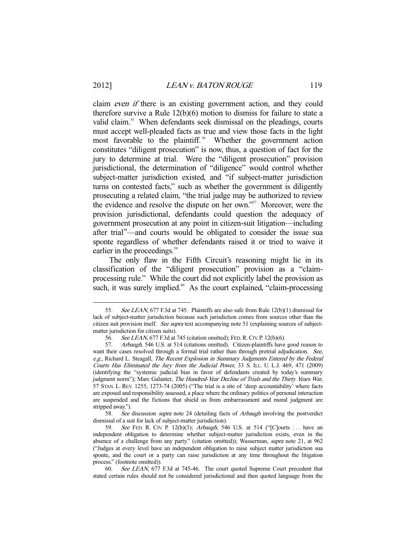claim *even if* there is an existing government action, and they could therefore survive a Rule 12(b)(6) motion to dismiss for failure to state a valid claim.<sup>55</sup> When defendants seek dismissal on the pleadings, courts must accept well-pleaded facts as true and view those facts in the light most favorable to the plaintiff.<sup>56</sup> Whether the government action constitutes "diligent prosecution" is now, thus, a question of fact for the jury to determine at trial. Were the "diligent prosecution" provision jurisdictional, the determination of "diligence" would control whether subject-matter jurisdiction existed, and "if subject-matter jurisdiction turns on contested facts," such as whether the government is diligently prosecuting a related claim, "the trial judge may be authorized to review the evidence and resolve the dispute on her own."57 Moreover, were the provision jurisdictional, defendants could question the adequacy of government prosecution at any point in citizen-suit litigation—including after trial<sup>58</sup>—and courts would be obligated to consider the issue sua sponte regardless of whether defendants raised it or tried to waive it earlier in the proceedings.<sup>59</sup>

 The only flaw in the Fifth Circuit's reasoning might lie in its classification of the "diligent prosecution" provision as a "claimprocessing rule." While the court did not explicitly label the provision as such, it was surely implied. $60$  As the court explained, "claim-processing

 58. See discussion supra note 24 (detailing facts of Arbaugh involving the postverdict dismissal of a suit for lack of subject-matter jurisdiction).

<sup>55.</sup> See LEAN, 677 F.3d at 745. Plaintiffs are also safe from Rule 12(b)(1) dismissal for lack of subject-matter jurisdiction because such jurisdiction comes from sources other than the citizen suit provision itself. See supra text accompanying note 51 (explaining sources of subjectmatter jurisdiction for citizen suits).

 <sup>56.</sup> See LEAN, 677 F.3d at 745 (citation omitted); FED.R.CIV. P. 12(b)(6).

<sup>57.</sup> Arbaugh, 546 U.S. at 514 (citations omitted). Citizen-plaintiffs have good reason to want their cases resolved through a formal trial rather than through pretrial adjudication. See, e.g., Richard L. Steagall, The Recent Explosion in Summary Judgments Entered by the Federal Courts Has Eliminated the Jury from the Judicial Power, 33 S. ILL. U. L.J. 469, 471 (2009) (identifying the "systemic judicial bias in favor of defendants created by today's summary judgment norm"); Marc Galanter, The Hundred-Year Decline of Trials and the Thirty Years War, 57 STAN. L. REV. 1255, 1273-74 (2005) ("The trial is a site of 'deep accountability' where facts are exposed and responsibility assessed, a place where the ordinary politics of personal interaction are suspended and the fictions that shield us from embarrassment and moral judgment are stripped away.").

<sup>59.</sup> See FED. R. CIV. P. 12(h)(3); Arbaugh, 546 U.S. at 514 ("[C]ourts ... have an independent obligation to determine whether subject-matter jurisdiction exists, even in the absence of a challenge from any party." (citation omitted)); Wasserman, supra note 21, at 962 ("Judges at every level have an independent obligation to raise subject matter jurisdiction sua sponte, and the court or a party can raise jurisdiction at any time throughout the litigation process." (footnote omitted)).

 <sup>60.</sup> See LEAN, 677 F.3d at 745-46. The court quoted Supreme Court precedent that stated certain rules should not be considered jurisdictional and then quoted language from the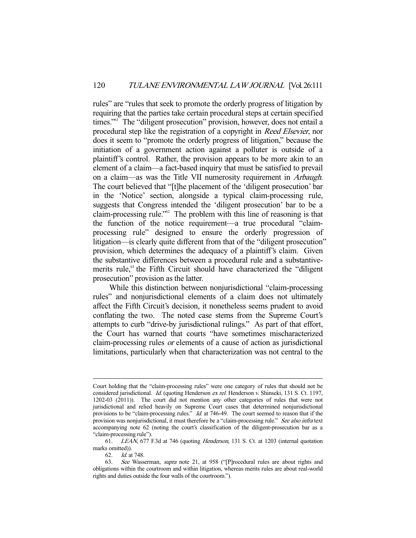rules" are "rules that seek to promote the orderly progress of litigation by requiring that the parties take certain procedural steps at certain specified times."<sup>61</sup> The "diligent prosecution" provision, however, does not entail a procedural step like the registration of a copyright in Reed Elsevier, nor does it seem to "promote the orderly progress of litigation," because the initiation of a government action against a polluter is outside of a plaintiff's control. Rather, the provision appears to be more akin to an element of a claim—a fact-based inquiry that must be satisfied to prevail on a claim—as was the Title VII numerosity requirement in Arbaugh. The court believed that "[t]he placement of the 'diligent prosecution' bar in the 'Notice' section, alongside a typical claim-processing rule, suggests that Congress intended the 'diligent prosecution' bar to be a claim-processing rule."62 The problem with this line of reasoning is that the function of the notice requirement—a true procedural "claimprocessing rule" designed to ensure the orderly progression of litigation—is clearly quite different from that of the "diligent prosecution" provision, which determines the adequacy of a plaintiff's claim. Given the substantive differences between a procedural rule and a substantivemerits rule, $63$  the Fifth Circuit should have characterized the "diligent" prosecution" provision as the latter.

 While this distinction between nonjurisdictional "claim-processing rules" and nonjurisdictional elements of a claim does not ultimately affect the Fifth Circuit's decision, it nonetheless seems prudent to avoid conflating the two. The noted case stems from the Supreme Court's attempts to curb "drive-by jurisdictional rulings." As part of that effort, the Court has warned that courts "have sometimes mischaracterized claim-processing rules or elements of a cause of action as jurisdictional limitations, particularly when that characterization was not central to the

<sup>-</sup>Court holding that the "claim-processing rules" were one category of rules that should not be considered jurisdictional. Id. (quoting Henderson ex rel. Henderson v. Shinseki, 131 S. Ct. 1197, 1202-03 (2011)). The court did not mention any other categories of rules that were not jurisdictional and relied heavily on Supreme Court cases that determined nonjurisdictional provisions to be "claim-processing rules." Id. at 746-49. The court seemed to reason that if the provision was nonjurisdictional, it must therefore be a "claim-processing rule." See also infra text accompanying note 62 (noting the court's classification of the diligent-prosecution bar as a "claim-processing rule").

 <sup>61.</sup> LEAN, 677 F.3d at 746 (quoting Henderson, 131 S. Ct. at 1203 (internal quotation marks omitted)).

 <sup>62.</sup> Id. at 748.

<sup>63.</sup> See Wasserman, supra note 21, at 958 ("[P]rocedural rules are about rights and obligations within the courtroom and within litigation, whereas merits rules are about real-world rights and duties outside the four walls of the courtroom.").